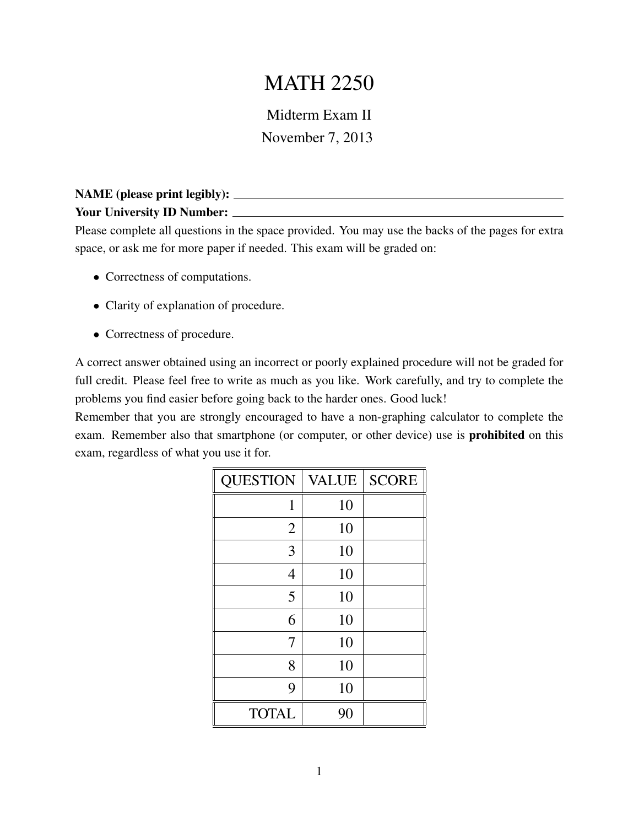## MATH 2250

Midterm Exam II November 7, 2013

## NAME (please print legibly): Your University ID Number:

Please complete all questions in the space provided. You may use the backs of the pages for extra space, or ask me for more paper if needed. This exam will be graded on:

- Correctness of computations.
- Clarity of explanation of procedure.
- Correctness of procedure.

A correct answer obtained using an incorrect or poorly explained procedure will not be graded for full credit. Please feel free to write as much as you like. Work carefully, and try to complete the problems you find easier before going back to the harder ones. Good luck!

Remember that you are strongly encouraged to have a non-graphing calculator to complete the exam. Remember also that smartphone (or computer, or other device) use is prohibited on this exam, regardless of what you use it for.

| <b>QUESTION</b> | <b>VALUE</b> | <b>SCORE</b> |
|-----------------|--------------|--------------|
| 1               | 10           |              |
| $\overline{2}$  | 10           |              |
| 3               | 10           |              |
| $\overline{4}$  | 10           |              |
| 5               | 10           |              |
| 6               | 10           |              |
| 7               | 10           |              |
| 8               | 10           |              |
| 9               | 10           |              |
| <b>TOTAL</b>    | 90           |              |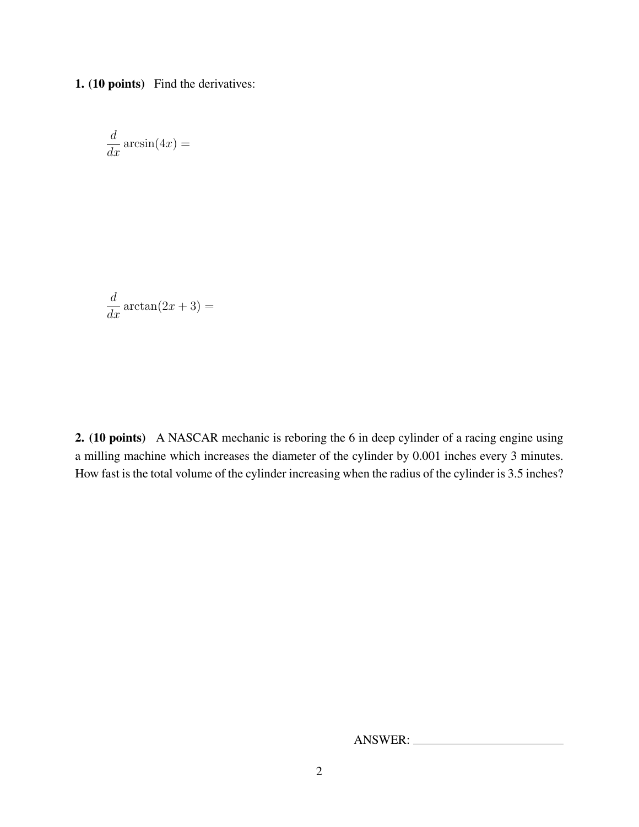1. (10 points) Find the derivatives:

$$
\frac{d}{dx}\arcsin(4x) =
$$

$$
\frac{d}{dx}\arctan(2x+3) =
$$

2. (10 points) A NASCAR mechanic is reboring the 6 in deep cylinder of a racing engine using a milling machine which increases the diameter of the cylinder by 0.001 inches every 3 minutes. How fast is the total volume of the cylinder increasing when the radius of the cylinder is 3.5 inches?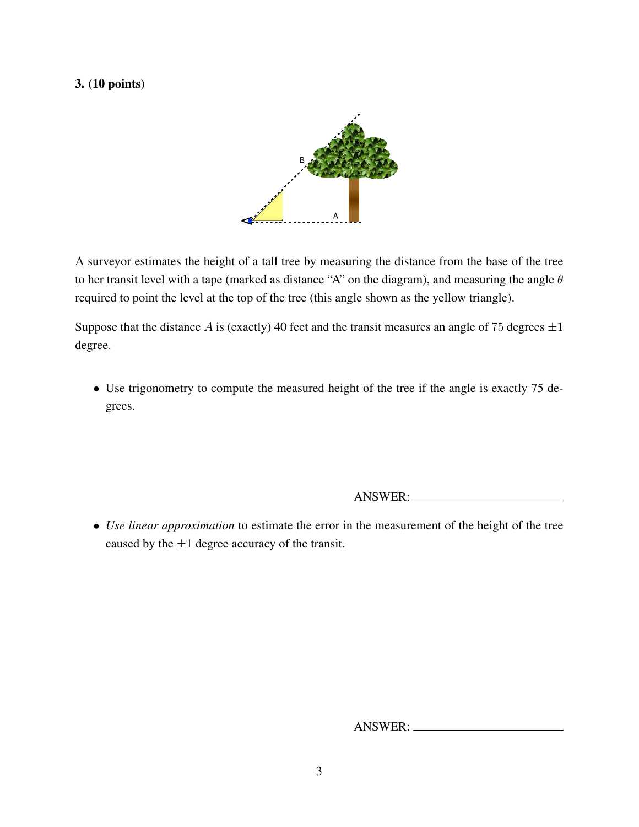## 3. (10 points)



A surveyor estimates the height of a tall tree by measuring the distance from the base of the tree to her transit level with a tape (marked as distance "A" on the diagram), and measuring the angle  $\theta$ required to point the level at the top of the tree (this angle shown as the yellow triangle).

Suppose that the distance A is (exactly) 40 feet and the transit measures an angle of 75 degrees  $\pm 1$ degree.

• Use trigonometry to compute the measured height of the tree if the angle is exactly 75 degrees.

ANSWER:

• *Use linear approximation* to estimate the error in the measurement of the height of the tree caused by the  $\pm 1$  degree accuracy of the transit.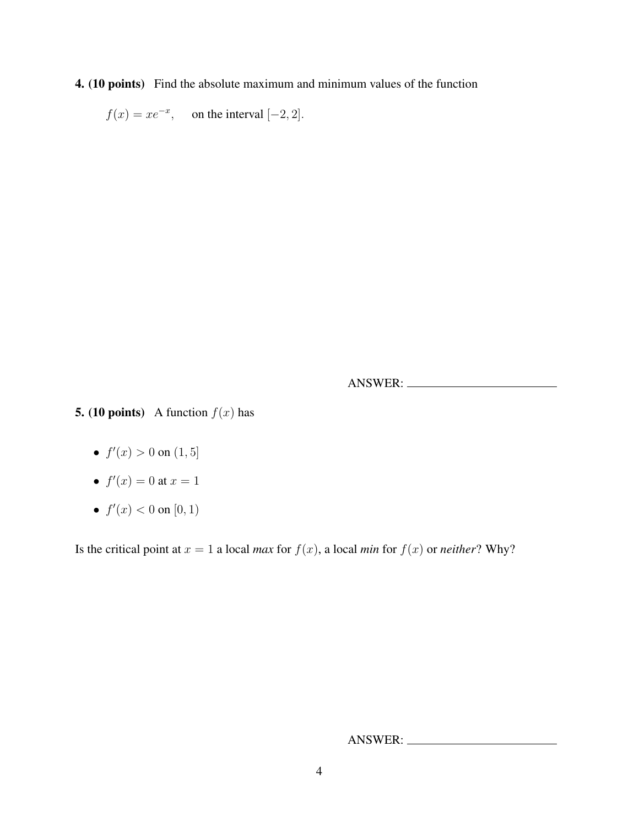4. (10 points) Find the absolute maximum and minimum values of the function

 $f(x) = xe^{-x}$ , on the interval [-2, 2].

ANSWER:

**5.** (10 points) A function  $f(x)$  has

- $f'(x) > 0$  on  $(1, 5]$
- $f'(x) = 0$  at  $x = 1$
- $f'(x) < 0$  on  $[0, 1)$

Is the critical point at  $x = 1$  a local *max* for  $f(x)$ , a local *min* for  $f(x)$  or *neither*? Why?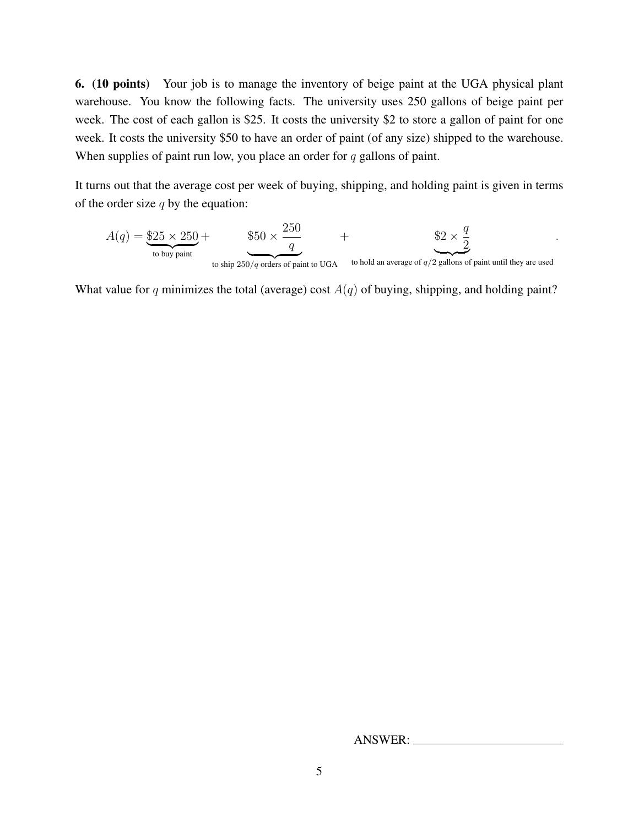6. (10 points) Your job is to manage the inventory of beige paint at the UGA physical plant warehouse. You know the following facts. The university uses 250 gallons of beige paint per week. The cost of each gallon is \$25. It costs the university \$2 to store a gallon of paint for one week. It costs the university \$50 to have an order of paint (of any size) shipped to the warehouse. When supplies of paint run low, you place an order for  $q$  gallons of paint.

It turns out that the average cost per week of buying, shipping, and holding paint is given in terms of the order size  $q$  by the equation:

$$
A(q) = \underbrace{\$25 \times 250}_{\text{to buy paint}} + \underbrace{\$50 \times \frac{250}{q}}_{\text{to ship 250/q orders of paint to UGA}}
$$
 + 
$$
\underbrace{\$2 \times \frac{q}{2}}_{\text{to hold an average of q/2 gallons of paint until they are used}}
$$
.

What value for q minimizes the total (average) cost  $A(q)$  of buying, shipping, and holding paint?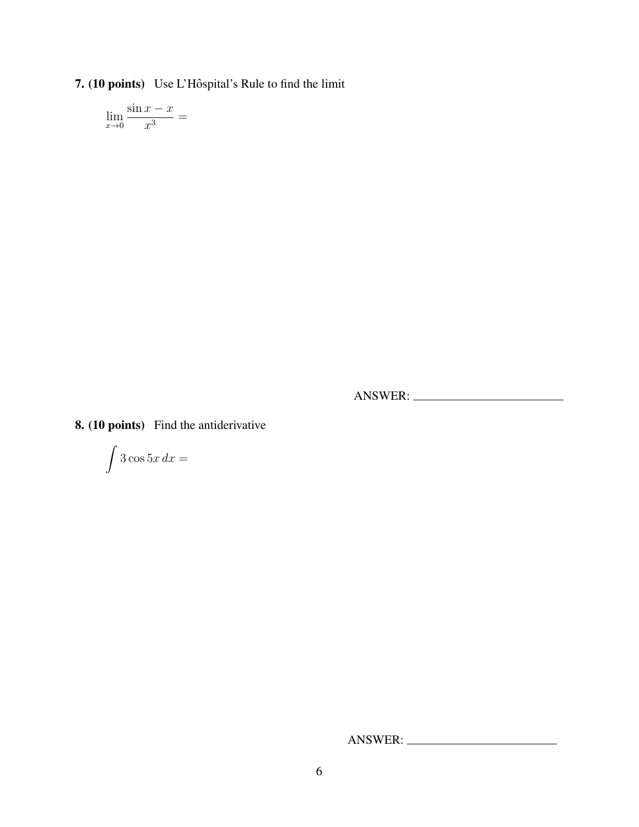7. (10 points) Use L'Hôspital's Rule to find the limit

$$
\lim_{x \to 0} \frac{\sin x - x}{x^3} =
$$

ANSWER:

8. (10 points) Find the antiderivative

$$
\int 3\cos 5x\,dx =
$$